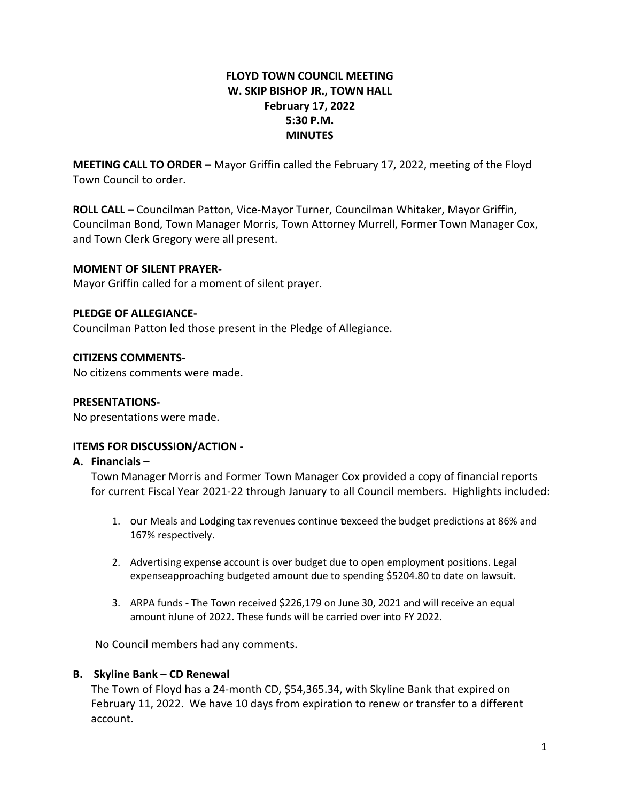# **FLOYD TOWN COUNCIL MEETING W. SKIP BISHOP JR., TOWN HALL February 17, 2022 5:30 P.M. MINUTES**

**MEETING CALL TO ORDER –** Mayor Griffin called the February 17, 2022, meeting of the Floyd Town Council to order.

**ROLL CALL –** Councilman Patton, Vice-Mayor Turner, Councilman Whitaker, Mayor Griffin, Councilman Bond, Town Manager Morris, Town Attorney Murrell, Former Town Manager Cox, and Town Clerk Gregory were all present.

## **MOMENT OF SILENT PRAYER-**

Mayor Griffin called for a moment of silent prayer.

## **PLEDGE OF ALLEGIANCE-**

Councilman Patton led those present in the Pledge of Allegiance.

### **CITIZENS COMMENTS-**

No citizens comments were made.

#### **PRESENTATIONS-**

No presentations were made.

## **ITEMS FOR DISCUSSION/ACTION -**

#### **A. Financials –**

Town Manager Morris and Former Town Manager Cox provided a copy of financial reports for current Fiscal Year 2021-22 through January to all Council members. Highlights included:

- 1. our Meals and Lodging tax revenues continue toexceed the budget predictions at 86% and 167% respectively.
- 2. Advertising expense account is over budget due to open employment positions. Legal expenseapproaching budgeted amount due to spending \$5204.80 to date on lawsuit.
- 3. ARPA funds **-** The Town received \$226,179 on June 30, 2021 and will receive an equal amount in June of 2022. These funds will be carried over into FY 2022.

No Council members had any comments.

#### **B. Skyline Bank – CD Renewal**

The Town of Floyd has a 24-month CD, \$54,365.34, with Skyline Bank that expired on February 11, 2022. We have 10 days from expiration to renew or transfer to a different account.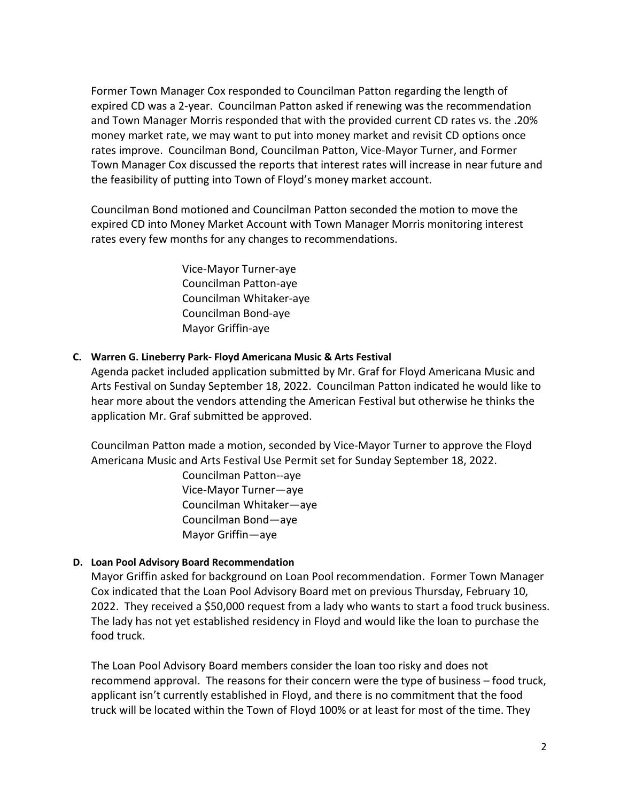Former Town Manager Cox responded to Councilman Patton regarding the length of expired CD was a 2-year. Councilman Patton asked if renewing was the recommendation and Town Manager Morris responded that with the provided current CD rates vs. the .20% money market rate, we may want to put into money market and revisit CD options once rates improve. Councilman Bond, Councilman Patton, Vice-Mayor Turner, and Former Town Manager Cox discussed the reports that interest rates will increase in near future and the feasibility of putting into Town of Floyd's money market account.

Councilman Bond motioned and Councilman Patton seconded the motion to move the expired CD into Money Market Account with Town Manager Morris monitoring interest rates every few months for any changes to recommendations.

> Vice-Mayor Turner-aye Councilman Patton-aye Councilman Whitaker-aye Councilman Bond-aye Mayor Griffin-aye

### **C. Warren G. Lineberry Park- Floyd Americana Music & Arts Festival**

Agenda packet included application submitted by Mr. Graf for Floyd Americana Music and Arts Festival on Sunday September 18, 2022. Councilman Patton indicated he would like to hear more about the vendors attending the American Festival but otherwise he thinks the application Mr. Graf submitted be approved.

Councilman Patton made a motion, seconded by Vice-Mayor Turner to approve the Floyd Americana Music and Arts Festival Use Permit set for Sunday September 18, 2022.

> Councilman Patton--aye Vice-Mayor Turner—aye Councilman Whitaker—aye Councilman Bond—aye Mayor Griffin—aye

## **D. Loan Pool Advisory Board Recommendation**

Mayor Griffin asked for background on Loan Pool recommendation. Former Town Manager Cox indicated that the Loan Pool Advisory Board met on previous Thursday, February 10, 2022. They received a \$50,000 request from a lady who wants to start a food truck business. The lady has not yet established residency in Floyd and would like the loan to purchase the food truck.

The Loan Pool Advisory Board members consider the loan too risky and does not recommend approval. The reasons for their concern were the type of business – food truck, applicant isn't currently established in Floyd, and there is no commitment that the food truck will be located within the Town of Floyd 100% or at least for most of the time. They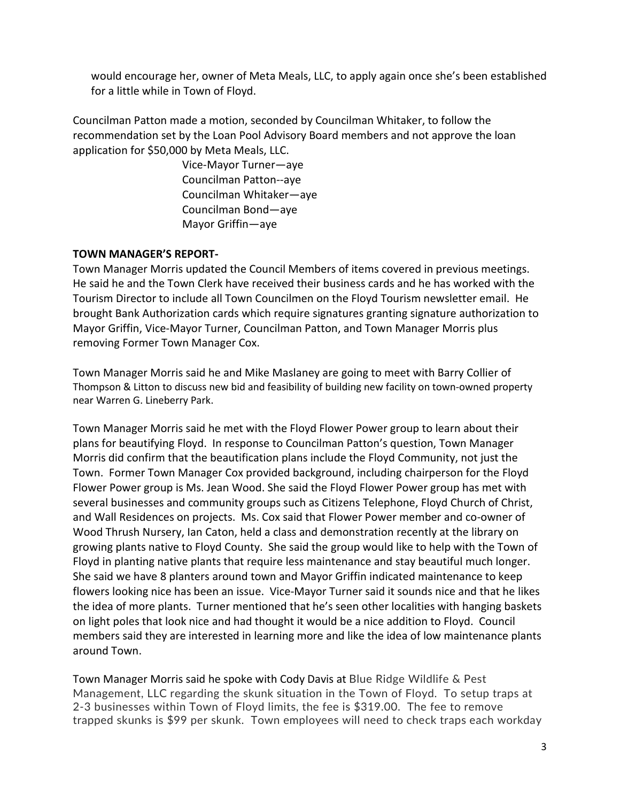would encourage her, owner of Meta Meals, LLC, to apply again once she's been established for a little while in Town of Floyd.

Councilman Patton made a motion, seconded by Councilman Whitaker, to follow the recommendation set by the Loan Pool Advisory Board members and not approve the loan application for \$50,000 by Meta Meals, LLC.

> Vice-Mayor Turner—aye Councilman Patton--aye Councilman Whitaker—aye Councilman Bond—aye Mayor Griffin—aye

## **TOWN MANAGER'S REPORT-**

Town Manager Morris updated the Council Members of items covered in previous meetings. He said he and the Town Clerk have received their business cards and he has worked with the Tourism Director to include all Town Councilmen on the Floyd Tourism newsletter email. He brought Bank Authorization cards which require signatures granting signature authorization to Mayor Griffin, Vice-Mayor Turner, Councilman Patton, and Town Manager Morris plus removing Former Town Manager Cox.

Town Manager Morris said he and Mike Maslaney are going to meet with Barry Collier of Thompson & Litton to discuss new bid and feasibility of building new facility on town-owned property near Warren G. Lineberry Park.

Town Manager Morris said he met with the Floyd Flower Power group to learn about their plans for beautifying Floyd. In response to Councilman Patton's question, Town Manager Morris did confirm that the beautification plans include the Floyd Community, not just the Town. Former Town Manager Cox provided background, including chairperson for the Floyd Flower Power group is Ms. Jean Wood. She said the Floyd Flower Power group has met with several businesses and community groups such as Citizens Telephone, Floyd Church of Christ, and Wall Residences on projects. Ms. Cox said that Flower Power member and co-owner of Wood Thrush Nursery, Ian Caton, held a class and demonstration recently at the library on growing plants native to Floyd County. She said the group would like to help with the Town of Floyd in planting native plants that require less maintenance and stay beautiful much longer. She said we have 8 planters around town and Mayor Griffin indicated maintenance to keep flowers looking nice has been an issue. Vice-Mayor Turner said it sounds nice and that he likes the idea of more plants. Turner mentioned that he's seen other localities with hanging baskets on light poles that look nice and had thought it would be a nice addition to Floyd. Council members said they are interested in learning more and like the idea of low maintenance plants around Town.

Town Manager Morris said he spoke with Cody Davis at Blue Ridge Wildlife & Pest Management, LLC regarding the skunk situation in the Town of Floyd. To setup traps at 2-3 businesses within Town of Floyd limits, the fee is \$319.00. The fee to remove trapped skunks is \$99 per skunk. Town employees will need to check traps each workday